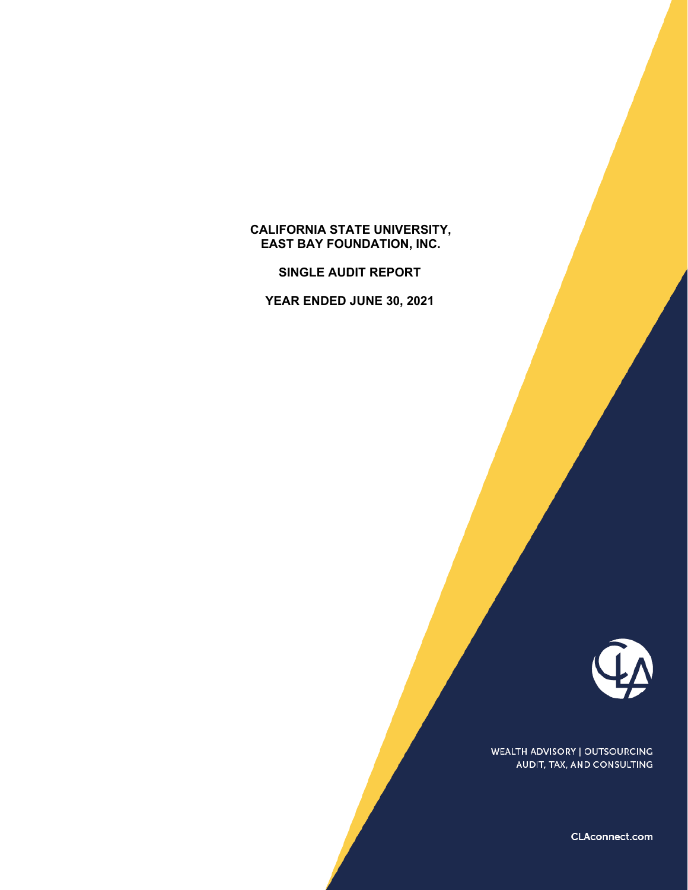# **CALIFORNIA STATE UNIVERSITY, EAST BAY FOUNDATION, INC.**

**SINGLE AUDIT REPORT** 

**YEAR ENDED JUNE 30, 2021** 



WEALTH ADVISORY | OUTSOURCING AUDIT, TAX, AND CONSULTING

CLAconnect.com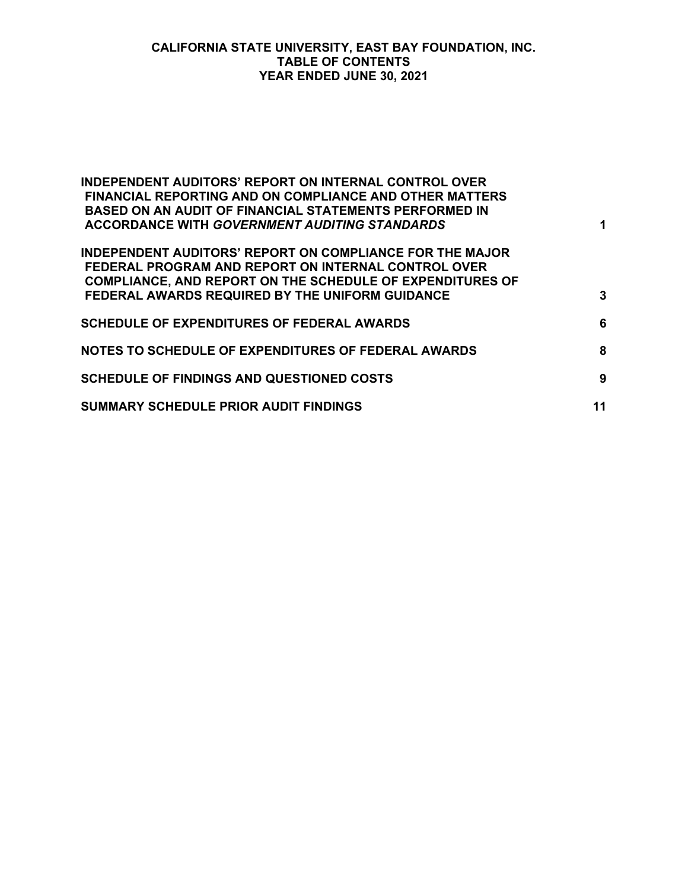#### **CALIFORNIA STATE UNIVERSITY, EAST BAY FOUNDATION, INC. TABLE OF CONTENTS YEAR ENDED JUNE 30, 2021**

| <b>INDEPENDENT AUDITORS' REPORT ON INTERNAL CONTROL OVER</b><br><b>FINANCIAL REPORTING AND ON COMPLIANCE AND OTHER MATTERS</b><br><b>BASED ON AN AUDIT OF FINANCIAL STATEMENTS PERFORMED IN</b><br><b>ACCORDANCE WITH GOVERNMENT AUDITING STANDARDS</b> | 1  |
|---------------------------------------------------------------------------------------------------------------------------------------------------------------------------------------------------------------------------------------------------------|----|
| <b>INDEPENDENT AUDITORS' REPORT ON COMPLIANCE FOR THE MAJOR</b><br>FEDERAL PROGRAM AND REPORT ON INTERNAL CONTROL OVER<br><b>COMPLIANCE, AND REPORT ON THE SCHEDULE OF EXPENDITURES OF</b><br>FEDERAL AWARDS REQUIRED BY THE UNIFORM GUIDANCE           | 3  |
| <b>SCHEDULE OF EXPENDITURES OF FEDERAL AWARDS</b>                                                                                                                                                                                                       | 6  |
| NOTES TO SCHEDULE OF EXPENDITURES OF FEDERAL AWARDS                                                                                                                                                                                                     | 8  |
| <b>SCHEDULE OF FINDINGS AND QUESTIONED COSTS</b>                                                                                                                                                                                                        | 9  |
| <b>SUMMARY SCHEDULE PRIOR AUDIT FINDINGS</b>                                                                                                                                                                                                            | 11 |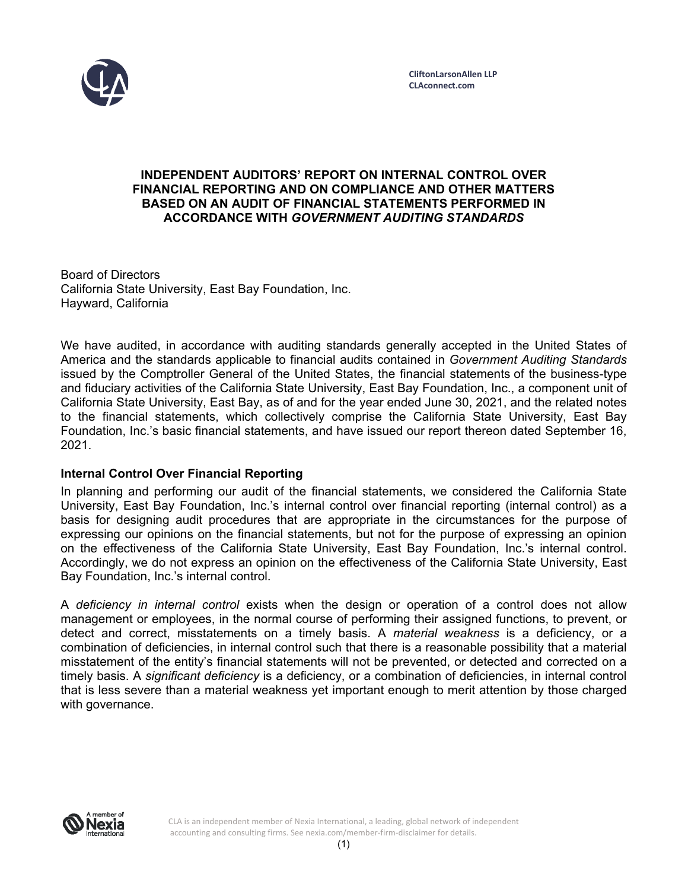

### **INDEPENDENT AUDITORS' REPORT ON INTERNAL CONTROL OVER FINANCIAL REPORTING AND ON COMPLIANCE AND OTHER MATTERS BASED ON AN AUDIT OF FINANCIAL STATEMENTS PERFORMED IN ACCORDANCE WITH** *GOVERNMENT AUDITING STANDARDS*

Board of Directors California State University, East Bay Foundation, Inc. Hayward, California

We have audited, in accordance with auditing standards generally accepted in the United States of America and the standards applicable to financial audits contained in *Government Auditing Standards*  issued by the Comptroller General of the United States, the financial statements of the business-type and fiduciary activities of the California State University, East Bay Foundation, Inc., a component unit of California State University, East Bay, as of and for the year ended June 30, 2021, and the related notes to the financial statements, which collectively comprise the California State University, East Bay Foundation, Inc.'s basic financial statements, and have issued our report thereon dated September 16, 2021.

# **Internal Control Over Financial Reporting**

In planning and performing our audit of the financial statements, we considered the California State University, East Bay Foundation, Inc.'s internal control over financial reporting (internal control) as a basis for designing audit procedures that are appropriate in the circumstances for the purpose of expressing our opinions on the financial statements, but not for the purpose of expressing an opinion on the effectiveness of the California State University, East Bay Foundation, Inc.'s internal control. Accordingly, we do not express an opinion on the effectiveness of the California State University, East Bay Foundation, Inc.'s internal control.

A *deficiency in internal control* exists when the design or operation of a control does not allow management or employees, in the normal course of performing their assigned functions, to prevent, or detect and correct, misstatements on a timely basis. A *material weakness* is a deficiency, or a combination of deficiencies, in internal control such that there is a reasonable possibility that a material misstatement of the entity's financial statements will not be prevented, or detected and corrected on a timely basis. A *significant deficiency* is a deficiency, or a combination of deficiencies, in internal control that is less severe than a material weakness yet important enough to merit attention by those charged with governance.



CLA is an independent member of Nexia International, a leading, global network of independent accounting and consulting firms. See nexia.com/member‐firm‐disclaimer for details.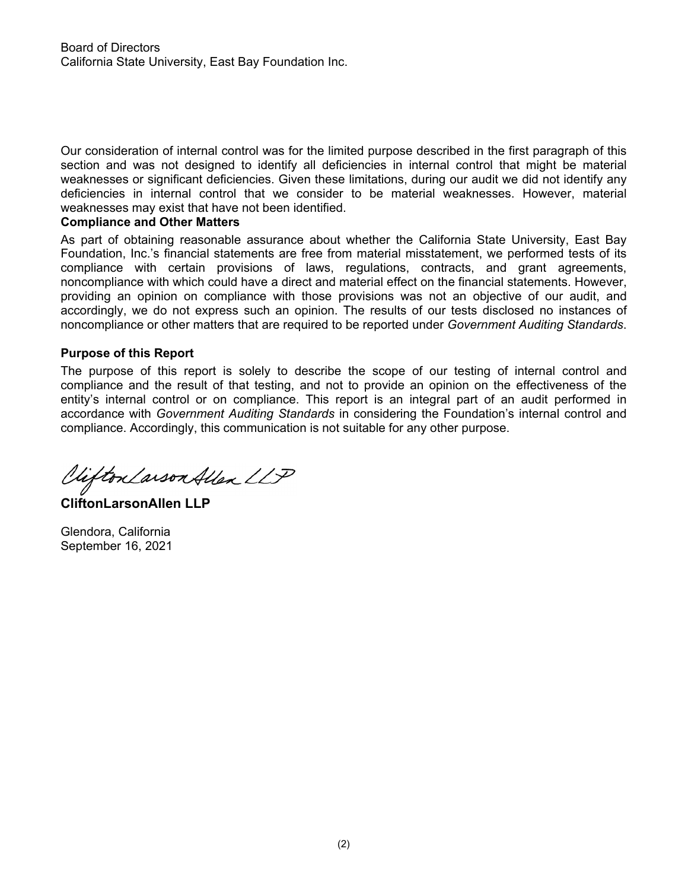Our consideration of internal control was for the limited purpose described in the first paragraph of this section and was not designed to identify all deficiencies in internal control that might be material weaknesses or significant deficiencies. Given these limitations, during our audit we did not identify any deficiencies in internal control that we consider to be material weaknesses. However, material weaknesses may exist that have not been identified.

# **Compliance and Other Matters**

As part of obtaining reasonable assurance about whether the California State University, East Bay Foundation, Inc.'s financial statements are free from material misstatement, we performed tests of its compliance with certain provisions of laws, regulations, contracts, and grant agreements, noncompliance with which could have a direct and material effect on the financial statements. However, providing an opinion on compliance with those provisions was not an objective of our audit, and accordingly, we do not express such an opinion. The results of our tests disclosed no instances of noncompliance or other matters that are required to be reported under *Government Auditing Standards*.

# **Purpose of this Report**

The purpose of this report is solely to describe the scope of our testing of internal control and compliance and the result of that testing, and not to provide an opinion on the effectiveness of the entity's internal control or on compliance. This report is an integral part of an audit performed in accordance with *Government Auditing Standards* in considering the Foundation's internal control and compliance. Accordingly, this communication is not suitable for any other purpose.

Viifton Larson Allen LLP

**CliftonLarsonAllen LLP** 

Glendora, California September 16, 2021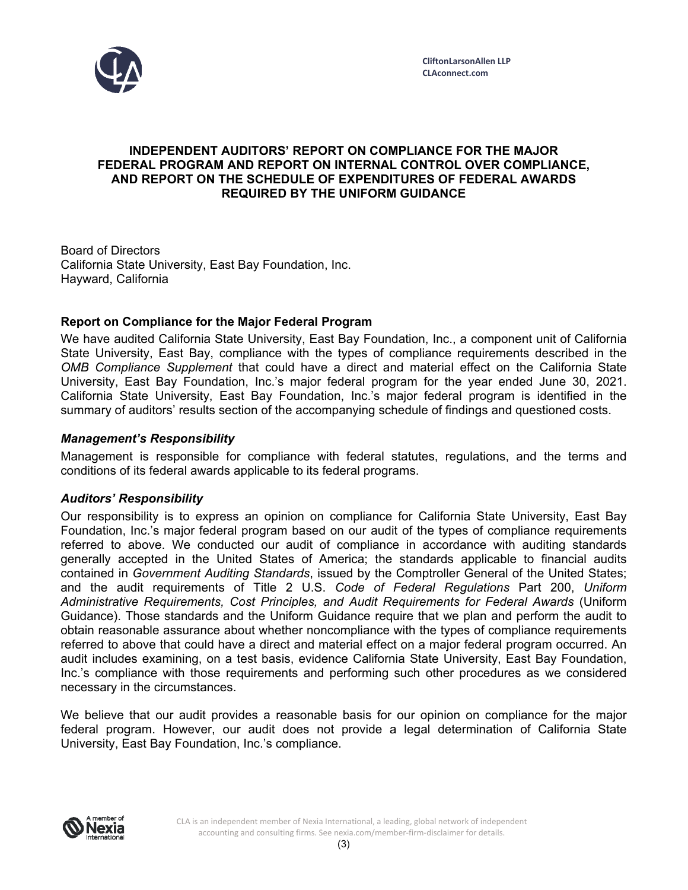

# **INDEPENDENT AUDITORS' REPORT ON COMPLIANCE FOR THE MAJOR FEDERAL PROGRAM AND REPORT ON INTERNAL CONTROL OVER COMPLIANCE, AND REPORT ON THE SCHEDULE OF EXPENDITURES OF FEDERAL AWARDS REQUIRED BY THE UNIFORM GUIDANCE**

Board of Directors California State University, East Bay Foundation, Inc. Hayward, California

# **Report on Compliance for the Major Federal Program**

We have audited California State University, East Bay Foundation, Inc., a component unit of California State University, East Bay, compliance with the types of compliance requirements described in the *OMB Compliance Supplement* that could have a direct and material effect on the California State University, East Bay Foundation, Inc.'s major federal program for the year ended June 30, 2021. California State University, East Bay Foundation, Inc.'s major federal program is identified in the summary of auditors' results section of the accompanying schedule of findings and questioned costs.

# *Management's Responsibility*

Management is responsible for compliance with federal statutes, regulations, and the terms and conditions of its federal awards applicable to its federal programs.

# *Auditors' Responsibility*

Our responsibility is to express an opinion on compliance for California State University, East Bay Foundation, Inc.'s major federal program based on our audit of the types of compliance requirements referred to above. We conducted our audit of compliance in accordance with auditing standards generally accepted in the United States of America; the standards applicable to financial audits contained in *Government Auditing Standards*, issued by the Comptroller General of the United States; and the audit requirements of Title 2 U.S. *Code of Federal Regulations* Part 200, *Uniform Administrative Requirements, Cost Principles, and Audit Requirements for Federal Awards* (Uniform Guidance). Those standards and the Uniform Guidance require that we plan and perform the audit to obtain reasonable assurance about whether noncompliance with the types of compliance requirements referred to above that could have a direct and material effect on a major federal program occurred. An audit includes examining, on a test basis, evidence California State University, East Bay Foundation, Inc.'s compliance with those requirements and performing such other procedures as we considered necessary in the circumstances.

We believe that our audit provides a reasonable basis for our opinion on compliance for the major federal program. However, our audit does not provide a legal determination of California State University, East Bay Foundation, Inc.'s compliance.

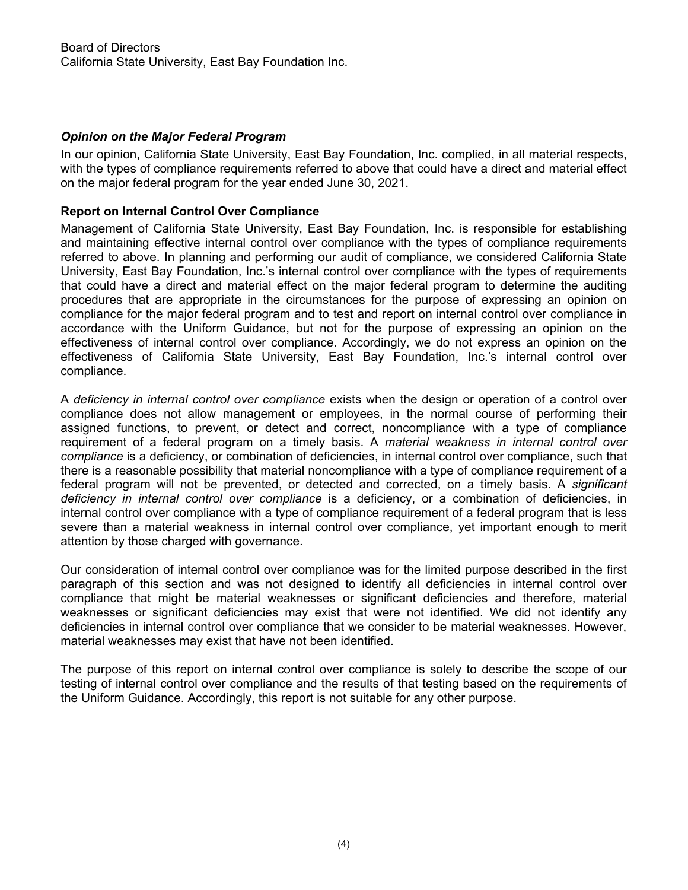# *Opinion on the Major Federal Program*

In our opinion, California State University, East Bay Foundation, Inc. complied, in all material respects, with the types of compliance requirements referred to above that could have a direct and material effect on the major federal program for the year ended June 30, 2021.

#### **Report on Internal Control Over Compliance**

Management of California State University, East Bay Foundation, Inc. is responsible for establishing and maintaining effective internal control over compliance with the types of compliance requirements referred to above. In planning and performing our audit of compliance, we considered California State University, East Bay Foundation, Inc.'s internal control over compliance with the types of requirements that could have a direct and material effect on the major federal program to determine the auditing procedures that are appropriate in the circumstances for the purpose of expressing an opinion on compliance for the major federal program and to test and report on internal control over compliance in accordance with the Uniform Guidance, but not for the purpose of expressing an opinion on the effectiveness of internal control over compliance. Accordingly, we do not express an opinion on the effectiveness of California State University, East Bay Foundation, Inc.'s internal control over compliance.

A *deficiency in internal control over compliance* exists when the design or operation of a control over compliance does not allow management or employees, in the normal course of performing their assigned functions, to prevent, or detect and correct, noncompliance with a type of compliance requirement of a federal program on a timely basis. A *material weakness in internal control over compliance* is a deficiency, or combination of deficiencies, in internal control over compliance, such that there is a reasonable possibility that material noncompliance with a type of compliance requirement of a federal program will not be prevented, or detected and corrected, on a timely basis. A *significant deficiency in internal control over compliance* is a deficiency, or a combination of deficiencies, in internal control over compliance with a type of compliance requirement of a federal program that is less severe than a material weakness in internal control over compliance, yet important enough to merit attention by those charged with governance.

Our consideration of internal control over compliance was for the limited purpose described in the first paragraph of this section and was not designed to identify all deficiencies in internal control over compliance that might be material weaknesses or significant deficiencies and therefore, material weaknesses or significant deficiencies may exist that were not identified. We did not identify any deficiencies in internal control over compliance that we consider to be material weaknesses. However, material weaknesses may exist that have not been identified.

The purpose of this report on internal control over compliance is solely to describe the scope of our testing of internal control over compliance and the results of that testing based on the requirements of the Uniform Guidance. Accordingly, this report is not suitable for any other purpose.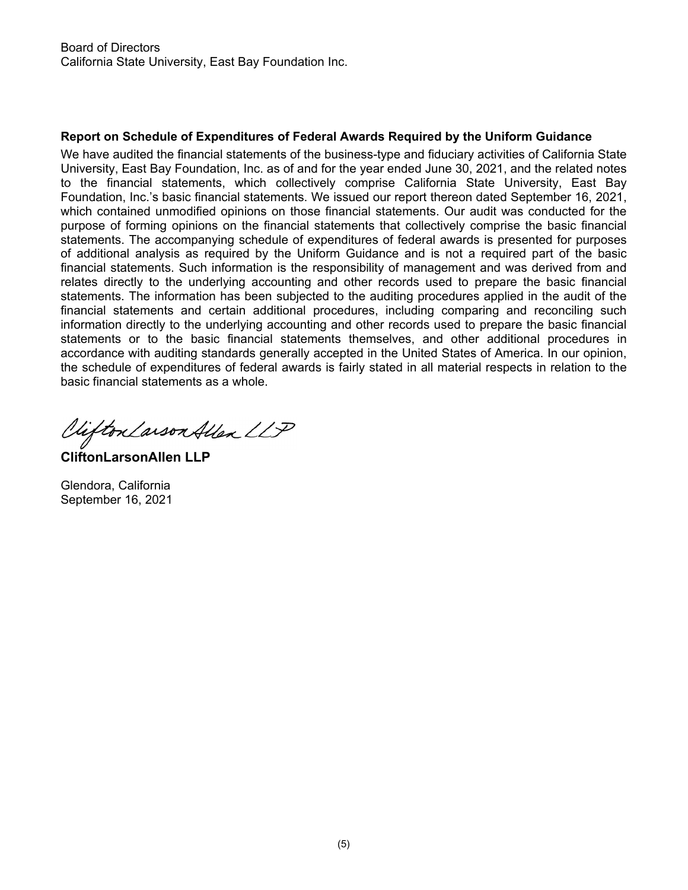# **Report on Schedule of Expenditures of Federal Awards Required by the Uniform Guidance**

We have audited the financial statements of the business-type and fiduciary activities of California State University, East Bay Foundation, Inc. as of and for the year ended June 30, 2021, and the related notes to the financial statements, which collectively comprise California State University, East Bay Foundation, Inc.'s basic financial statements. We issued our report thereon dated September 16, 2021, which contained unmodified opinions on those financial statements. Our audit was conducted for the purpose of forming opinions on the financial statements that collectively comprise the basic financial statements. The accompanying schedule of expenditures of federal awards is presented for purposes of additional analysis as required by the Uniform Guidance and is not a required part of the basic financial statements. Such information is the responsibility of management and was derived from and relates directly to the underlying accounting and other records used to prepare the basic financial statements. The information has been subjected to the auditing procedures applied in the audit of the financial statements and certain additional procedures, including comparing and reconciling such information directly to the underlying accounting and other records used to prepare the basic financial statements or to the basic financial statements themselves, and other additional procedures in accordance with auditing standards generally accepted in the United States of America. In our opinion, the schedule of expenditures of federal awards is fairly stated in all material respects in relation to the basic financial statements as a whole.

Vifton Larson Allen LLP

**CliftonLarsonAllen LLP** 

Glendora, California September 16, 2021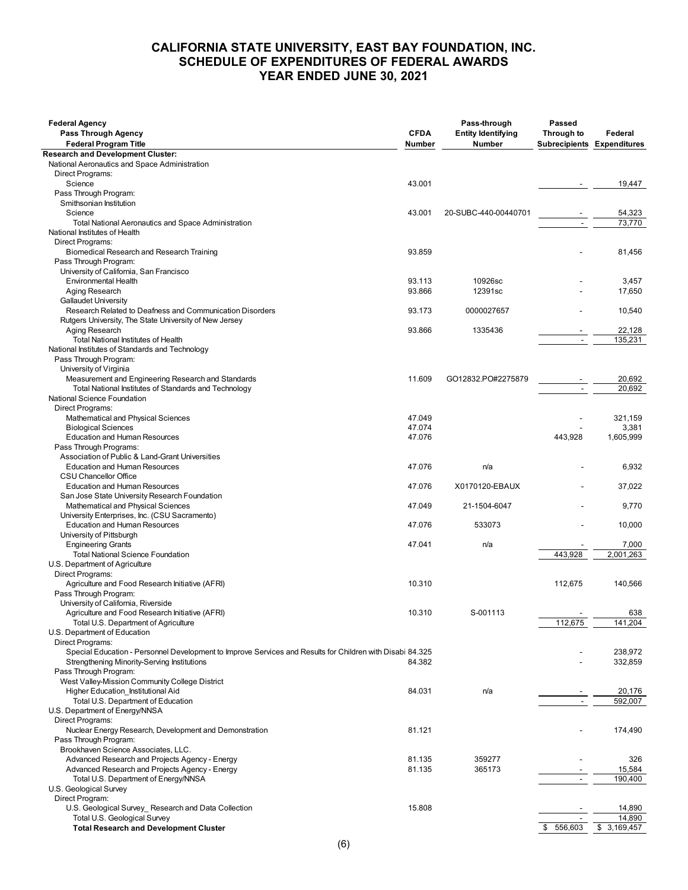#### **CALIFORNIA STATE UNIVERSITY, EAST BAY FOUNDATION, INC. SCHEDULE OF EXPENDITURES OF FEDERAL AWARDS YEAR ENDED JUNE 30, 2021**

| <b>Federal Agency</b><br>Pass Through Agency<br><b>Federal Program Title</b>                              | <b>CFDA</b><br>Number | Pass-through<br><b>Entity Identifying</b><br><b>Number</b> | Passed<br>Through to<br><b>Subrecipients Expenditures</b> | Federal     |
|-----------------------------------------------------------------------------------------------------------|-----------------------|------------------------------------------------------------|-----------------------------------------------------------|-------------|
| <b>Research and Development Cluster:</b>                                                                  |                       |                                                            |                                                           |             |
| National Aeronautics and Space Administration                                                             |                       |                                                            |                                                           |             |
| Direct Programs:                                                                                          |                       |                                                            |                                                           |             |
| Science                                                                                                   | 43.001                |                                                            | $\overline{\phantom{a}}$                                  | 19,447      |
| Pass Through Program:                                                                                     |                       |                                                            |                                                           |             |
| Smithsonian Institution                                                                                   |                       |                                                            |                                                           |             |
| Science                                                                                                   | 43.001                | 20-SUBC-440-00440701                                       |                                                           | 54,323      |
| <b>Total National Aeronautics and Space Administration</b>                                                |                       |                                                            |                                                           | 73,770      |
| National Institutes of Health                                                                             |                       |                                                            |                                                           |             |
| Direct Programs:                                                                                          |                       |                                                            |                                                           |             |
| Biomedical Research and Research Training                                                                 | 93.859                |                                                            |                                                           | 81,456      |
| Pass Through Program:                                                                                     |                       |                                                            |                                                           |             |
| University of California, San Francisco                                                                   |                       |                                                            |                                                           |             |
| Environmental Health                                                                                      | 93.113                | 10926sc                                                    |                                                           | 3,457       |
| Aging Research                                                                                            | 93.866                | 12391sc                                                    |                                                           | 17,650      |
| <b>Gallaudet University</b>                                                                               |                       |                                                            |                                                           |             |
| Research Related to Deafness and Communication Disorders                                                  | 93.173                | 0000027657                                                 |                                                           | 10,540      |
| Rutgers University, The State University of New Jersey                                                    |                       |                                                            |                                                           |             |
| Aging Research                                                                                            | 93.866                | 1335436                                                    |                                                           | 22,128      |
| Total National Institutes of Health                                                                       |                       |                                                            |                                                           | 135,231     |
| National Institutes of Standards and Technology                                                           |                       |                                                            |                                                           |             |
| Pass Through Program:                                                                                     |                       |                                                            |                                                           |             |
| University of Virginia                                                                                    |                       |                                                            |                                                           |             |
| Measurement and Engineering Research and Standards                                                        | 11.609                | GO12832.PO#2275879                                         |                                                           | 20,692      |
| Total National Institutes of Standards and Technology                                                     |                       |                                                            |                                                           | 20,692      |
| National Science Foundation                                                                               |                       |                                                            |                                                           |             |
| Direct Programs:                                                                                          |                       |                                                            |                                                           |             |
| Mathematical and Physical Sciences                                                                        | 47.049                |                                                            |                                                           | 321,159     |
| <b>Biological Sciences</b>                                                                                | 47.074                |                                                            |                                                           | 3,381       |
| <b>Education and Human Resources</b>                                                                      | 47.076                |                                                            | 443.928                                                   | 1,605,999   |
| Pass Through Programs:                                                                                    |                       |                                                            |                                                           |             |
| Association of Public & Land-Grant Universities                                                           |                       |                                                            |                                                           |             |
| <b>Education and Human Resources</b>                                                                      | 47.076                | n/a                                                        |                                                           | 6,932       |
| <b>CSU Chancellor Office</b>                                                                              |                       |                                                            |                                                           |             |
| <b>Education and Human Resources</b>                                                                      | 47.076                | X0170120-EBAUX                                             |                                                           | 37,022      |
| San Jose State University Research Foundation                                                             |                       |                                                            |                                                           |             |
| Mathematical and Physical Sciences                                                                        | 47.049                | 21-1504-6047                                               |                                                           | 9,770       |
| University Enterprises, Inc. (CSU Sacramento)                                                             |                       |                                                            |                                                           |             |
| <b>Education and Human Resources</b>                                                                      | 47.076                | 533073                                                     |                                                           | 10,000      |
| University of Pittsburgh                                                                                  |                       |                                                            |                                                           |             |
| <b>Engineering Grants</b>                                                                                 | 47.041                | n/a                                                        |                                                           | 7,000       |
| <b>Total National Science Foundation</b>                                                                  |                       |                                                            | 443.928                                                   | 2,001,263   |
| U.S. Department of Agriculture                                                                            |                       |                                                            |                                                           |             |
| Direct Programs:                                                                                          |                       |                                                            |                                                           |             |
| Agriculture and Food Research Initiative (AFRI)                                                           | 10.310                |                                                            | 112,675                                                   | 140,566     |
| Pass Through Program:                                                                                     |                       |                                                            |                                                           |             |
| University of California, Riverside                                                                       |                       |                                                            |                                                           |             |
| Agriculture and Food Research Initiative (AFRI)                                                           | 10.310                | S-001113                                                   |                                                           | 638         |
| Total U.S. Department of Agriculture                                                                      |                       |                                                            | 112,675                                                   | 141,204     |
| U.S. Department of Education                                                                              |                       |                                                            |                                                           |             |
| Direct Programs:                                                                                          |                       |                                                            |                                                           |             |
| Special Education - Personnel Development to Improve Services and Results for Children with Disabi 84.325 |                       |                                                            |                                                           | 238,972     |
| Strengthening Minority-Serving Institutions                                                               | 84.382                |                                                            |                                                           | 332,859     |
| Pass Through Program:                                                                                     |                       |                                                            |                                                           |             |
| West Valley-Mission Community College District                                                            |                       |                                                            |                                                           |             |
|                                                                                                           |                       |                                                            |                                                           |             |
| Higher Education Institutional Aid                                                                        | 84.031                | n/a                                                        |                                                           | 20,176      |
| Total U.S. Department of Education                                                                        |                       |                                                            |                                                           | 592,007     |
| U.S. Department of Energy/NNSA<br>Direct Programs:                                                        |                       |                                                            |                                                           |             |
|                                                                                                           |                       |                                                            |                                                           |             |
| Nuclear Energy Research, Development and Demonstration                                                    | 81.121                |                                                            |                                                           | 174,490     |
| Pass Through Program:                                                                                     |                       |                                                            |                                                           |             |
| Brookhaven Science Associates, LLC.                                                                       |                       |                                                            |                                                           |             |
| Advanced Research and Projects Agency - Energy                                                            | 81.135                | 359277                                                     |                                                           | 326         |
| Advanced Research and Projects Agency - Energy                                                            | 81.135                | 365173                                                     |                                                           | 15,584      |
| Total U.S. Department of Energy/NNSA                                                                      |                       |                                                            |                                                           | 190,400     |
| U.S. Geological Survey                                                                                    |                       |                                                            |                                                           |             |
| Direct Program:                                                                                           |                       |                                                            |                                                           |             |
| U.S. Geological Survey_ Research and Data Collection                                                      | 15.808                |                                                            |                                                           | 14,890      |
| Total U.S. Geological Survey                                                                              |                       |                                                            |                                                           | 14,890      |
| <b>Total Research and Development Cluster</b>                                                             |                       |                                                            | 556,603<br>\$                                             | \$3,169,457 |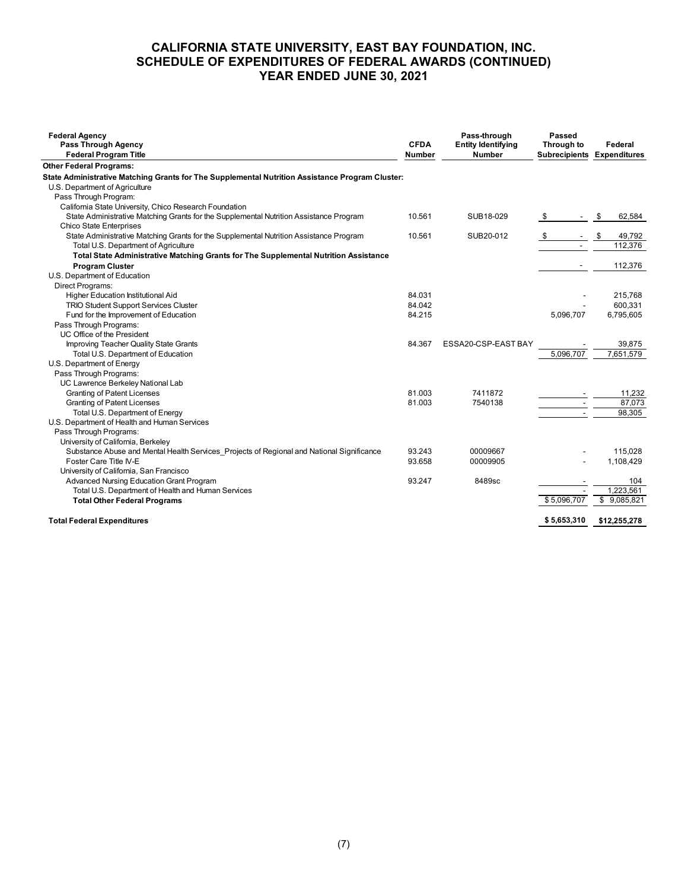### **CALIFORNIA STATE UNIVERSITY, EAST BAY FOUNDATION, INC. SCHEDULE OF EXPENDITURES OF FEDERAL AWARDS (CONTINUED) YEAR ENDED JUNE 30, 2021**

| <b>Federal Agency</b><br>Pass Through Agency<br><b>Federal Program Title</b>                                                   | <b>CFDA</b><br>Number | Pass-through<br><b>Entity Identifying</b><br><b>Number</b> | <b>Passed</b><br>Through to | Federal<br><b>Subrecipients Expenditures</b> |
|--------------------------------------------------------------------------------------------------------------------------------|-----------------------|------------------------------------------------------------|-----------------------------|----------------------------------------------|
| <b>Other Federal Programs:</b>                                                                                                 |                       |                                                            |                             |                                              |
| State Administrative Matching Grants for The Supplemental Nutrition Assistance Program Cluster:                                |                       |                                                            |                             |                                              |
| U.S. Department of Agriculture                                                                                                 |                       |                                                            |                             |                                              |
| Pass Through Program:                                                                                                          |                       |                                                            |                             |                                              |
| California State University, Chico Research Foundation                                                                         |                       |                                                            |                             |                                              |
| State Administrative Matching Grants for the Supplemental Nutrition Assistance Program                                         | 10.561                | SUB18-029                                                  | \$                          | 62,584<br>\$                                 |
| <b>Chico State Enterprises</b>                                                                                                 |                       |                                                            |                             |                                              |
| State Administrative Matching Grants for the Supplemental Nutrition Assistance Program<br>Total U.S. Department of Agriculture | 10.561                | SUB20-012                                                  | - \$                        | 49,792<br>\$<br>112,376                      |
| Total State Administrative Matching Grants for The Supplemental Nutrition Assistance                                           |                       |                                                            |                             |                                              |
| <b>Program Cluster</b>                                                                                                         |                       |                                                            |                             | 112,376                                      |
| U.S. Department of Education                                                                                                   |                       |                                                            |                             |                                              |
| Direct Programs:                                                                                                               |                       |                                                            |                             |                                              |
| Higher Education Institutional Aid                                                                                             | 84.031                |                                                            |                             | 215,768                                      |
| <b>TRIO Student Support Services Cluster</b>                                                                                   | 84.042                |                                                            |                             | 600,331                                      |
| Fund for the Improvement of Education                                                                                          | 84.215                |                                                            | 5,096,707                   | 6,795,605                                    |
| Pass Through Programs:                                                                                                         |                       |                                                            |                             |                                              |
| UC Office of the President                                                                                                     |                       |                                                            |                             |                                              |
| Improving Teacher Quality State Grants                                                                                         | 84.367                | ESSA20-CSP-EAST BAY                                        |                             | 39,875                                       |
| Total U.S. Department of Education                                                                                             |                       |                                                            | 5,096,707                   | 7,651,579                                    |
| U.S. Department of Energy                                                                                                      |                       |                                                            |                             |                                              |
| Pass Through Programs:                                                                                                         |                       |                                                            |                             |                                              |
| UC Lawrence Berkeley National Lab                                                                                              |                       |                                                            |                             |                                              |
| <b>Granting of Patent Licenses</b>                                                                                             | 81.003                | 7411872                                                    |                             | 11,232                                       |
| <b>Granting of Patent Licenses</b>                                                                                             | 81.003                | 7540138                                                    |                             | 87,073                                       |
| Total U.S. Department of Energy                                                                                                |                       |                                                            |                             | 98,305                                       |
| U.S. Department of Health and Human Services                                                                                   |                       |                                                            |                             |                                              |
| Pass Through Programs:                                                                                                         |                       |                                                            |                             |                                              |
| University of California, Berkeley                                                                                             |                       |                                                            |                             |                                              |
| Substance Abuse and Mental Health Services Projects of Regional and National Significance                                      | 93.243                | 00009667                                                   |                             | 115,028                                      |
| Foster Care Title IV-E                                                                                                         | 93.658                | 00009905                                                   |                             | 1,108,429                                    |
| University of California, San Francisco                                                                                        |                       |                                                            |                             |                                              |
| Advanced Nursing Education Grant Program                                                                                       | 93.247                | 8489sc                                                     |                             | 104                                          |
| Total U.S. Department of Health and Human Services                                                                             |                       |                                                            | \$5,096,707                 | 1.223.561<br>\$9,085,821                     |
| <b>Total Other Federal Programs</b>                                                                                            |                       |                                                            |                             |                                              |
| <b>Total Federal Expenditures</b>                                                                                              |                       |                                                            | \$5,653,310                 | \$12,255,278                                 |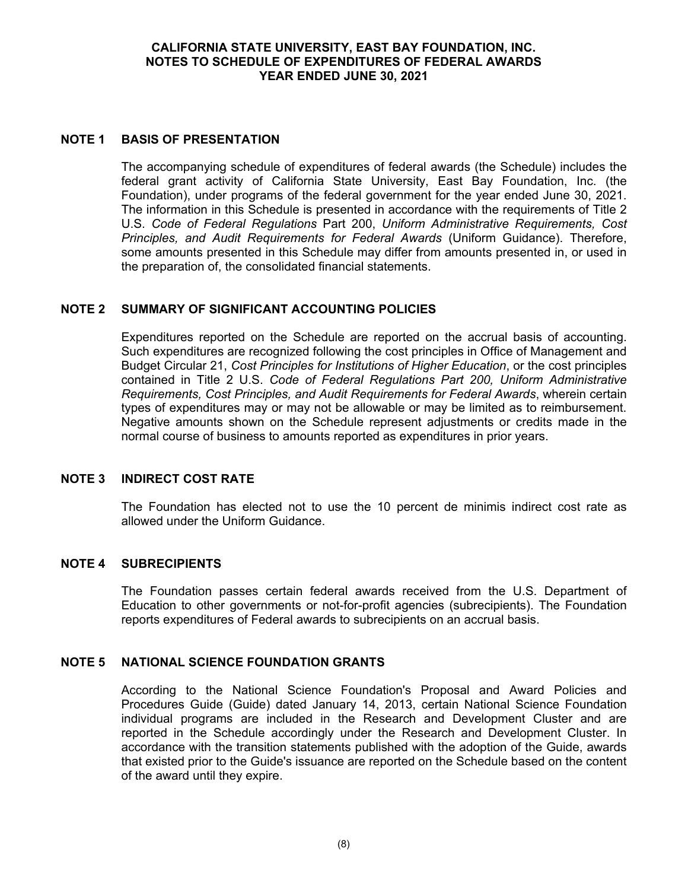#### **CALIFORNIA STATE UNIVERSITY, EAST BAY FOUNDATION, INC. NOTES TO SCHEDULE OF EXPENDITURES OF FEDERAL AWARDS YEAR ENDED JUNE 30, 2021**

#### **NOTE 1 BASIS OF PRESENTATION**

The accompanying schedule of expenditures of federal awards (the Schedule) includes the federal grant activity of California State University, East Bay Foundation, Inc. (the Foundation), under programs of the federal government for the year ended June 30, 2021. The information in this Schedule is presented in accordance with the requirements of Title 2 U.S. *Code of Federal Regulations* Part 200, *Uniform Administrative Requirements, Cost Principles, and Audit Requirements for Federal Awards* (Uniform Guidance). Therefore, some amounts presented in this Schedule may differ from amounts presented in, or used in the preparation of, the consolidated financial statements.

#### **NOTE 2 SUMMARY OF SIGNIFICANT ACCOUNTING POLICIES**

Expenditures reported on the Schedule are reported on the accrual basis of accounting. Such expenditures are recognized following the cost principles in Office of Management and Budget Circular 21, *Cost Principles for Institutions of Higher Education*, or the cost principles contained in Title 2 U.S. *Code of Federal Regulations Part 200, Uniform Administrative Requirements, Cost Principles, and Audit Requirements for Federal Awards*, wherein certain types of expenditures may or may not be allowable or may be limited as to reimbursement. Negative amounts shown on the Schedule represent adjustments or credits made in the normal course of business to amounts reported as expenditures in prior years.

#### **NOTE 3 INDIRECT COST RATE**

The Foundation has elected not to use the 10 percent de minimis indirect cost rate as allowed under the Uniform Guidance.

#### **NOTE 4 SUBRECIPIENTS**

The Foundation passes certain federal awards received from the U.S. Department of Education to other governments or not-for-profit agencies (subrecipients). The Foundation reports expenditures of Federal awards to subrecipients on an accrual basis.

#### **NOTE 5 NATIONAL SCIENCE FOUNDATION GRANTS**

According to the National Science Foundation's Proposal and Award Policies and Procedures Guide (Guide) dated January 14, 2013, certain National Science Foundation individual programs are included in the Research and Development Cluster and are reported in the Schedule accordingly under the Research and Development Cluster. In accordance with the transition statements published with the adoption of the Guide, awards that existed prior to the Guide's issuance are reported on the Schedule based on the content of the award until they expire.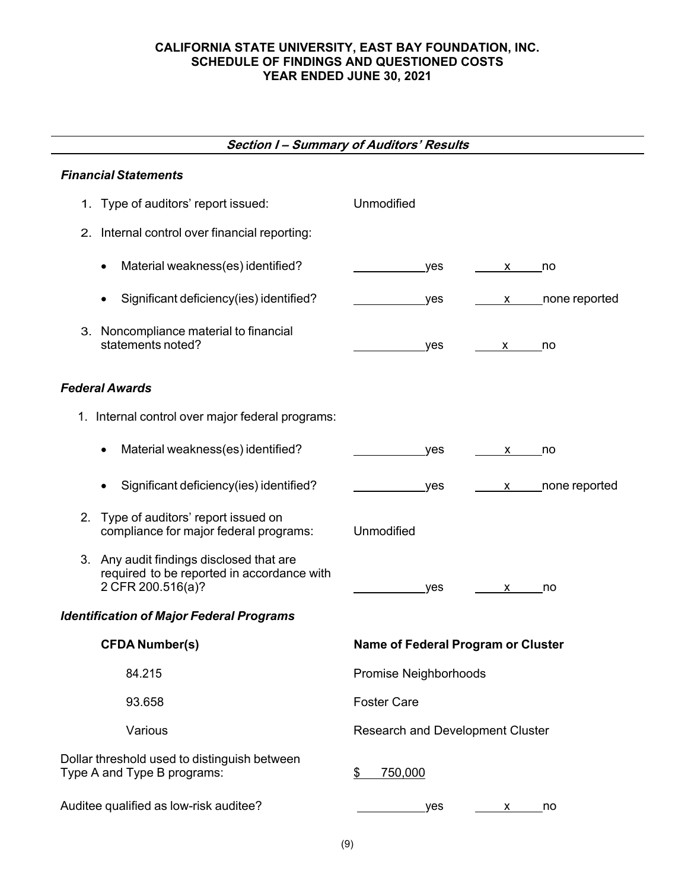# **CALIFORNIA STATE UNIVERSITY, EAST BAY FOUNDATION, INC. SCHEDULE OF FINDINGS AND QUESTIONED COSTS YEAR ENDED JUNE 30, 2021**

# **Section I – Summary of Auditors' Results**

# *Financial Statements*

| 1. Type of auditors' report issued:                                                                         | Unmodified                                                                                                                                                                                                                                                                                                               |
|-------------------------------------------------------------------------------------------------------------|--------------------------------------------------------------------------------------------------------------------------------------------------------------------------------------------------------------------------------------------------------------------------------------------------------------------------|
| 2. Internal control over financial reporting:                                                               |                                                                                                                                                                                                                                                                                                                          |
| Material weakness(es) identified?<br>$\bullet$                                                              | yes<br>no<br>X and the set of the set of the set of the set of the set of the set of the set of the set of the set of the set of the set of the set of the set of the set of the set of the set of the set of the set of the set of the set                                                                              |
| Significant deficiency(ies) identified?<br>$\bullet$                                                        | none reported<br>yes<br>$\mathsf{X}$ and $\mathsf{X}$ and $\mathsf{X}$ and $\mathsf{X}$ are $\mathsf{X}$ and $\mathsf{X}$ and $\mathsf{X}$ are $\mathsf{X}$ and $\mathsf{X}$ are $\mathsf{X}$ and $\mathsf{X}$ are $\mathsf{X}$ and $\mathsf{X}$ are $\mathsf{X}$ and $\mathsf{X}$ are $\mathsf{X}$ and $\mathsf{X}$ are |
| 3. Noncompliance material to financial<br>statements noted?                                                 | yes<br>no<br>X and the set of the set of the set of the set of the set of the set of the set of the set of the set of the set of the set of the set of the set of the set of the set of the set of the set of the set of the set of the set                                                                              |
| <b>Federal Awards</b>                                                                                       |                                                                                                                                                                                                                                                                                                                          |
| 1. Internal control over major federal programs:                                                            |                                                                                                                                                                                                                                                                                                                          |
| Material weakness(es) identified?<br>$\bullet$                                                              | yes<br>no<br>X —                                                                                                                                                                                                                                                                                                         |
| Significant deficiency(ies) identified?<br>$\bullet$                                                        | x _____ none reported<br>_yes                                                                                                                                                                                                                                                                                            |
| 2. Type of auditors' report issued on<br>compliance for major federal programs:                             | Unmodified                                                                                                                                                                                                                                                                                                               |
| 3. Any audit findings disclosed that are<br>required to be reported in accordance with<br>2 CFR 200.516(a)? | yes<br>no<br>X and the set of the set of the set of the set of the set of the set of the set of the set of the set of the set of the set of the set of the set of the set of the set of the set of the set of the set of the set of the set                                                                              |
| <b>Identification of Major Federal Programs</b>                                                             |                                                                                                                                                                                                                                                                                                                          |
| <b>CFDA Number(s)</b>                                                                                       | Name of Federal Program or Cluster                                                                                                                                                                                                                                                                                       |
| 84.215                                                                                                      | Promise Neighborhoods                                                                                                                                                                                                                                                                                                    |
| 93.658                                                                                                      | <b>Foster Care</b>                                                                                                                                                                                                                                                                                                       |
| Various                                                                                                     | <b>Research and Development Cluster</b>                                                                                                                                                                                                                                                                                  |
| Dollar threshold used to distinguish between<br>Type A and Type B programs:                                 | \$<br>750,000                                                                                                                                                                                                                                                                                                            |
| Auditee qualified as low-risk auditee?                                                                      | yes<br>no<br>X.                                                                                                                                                                                                                                                                                                          |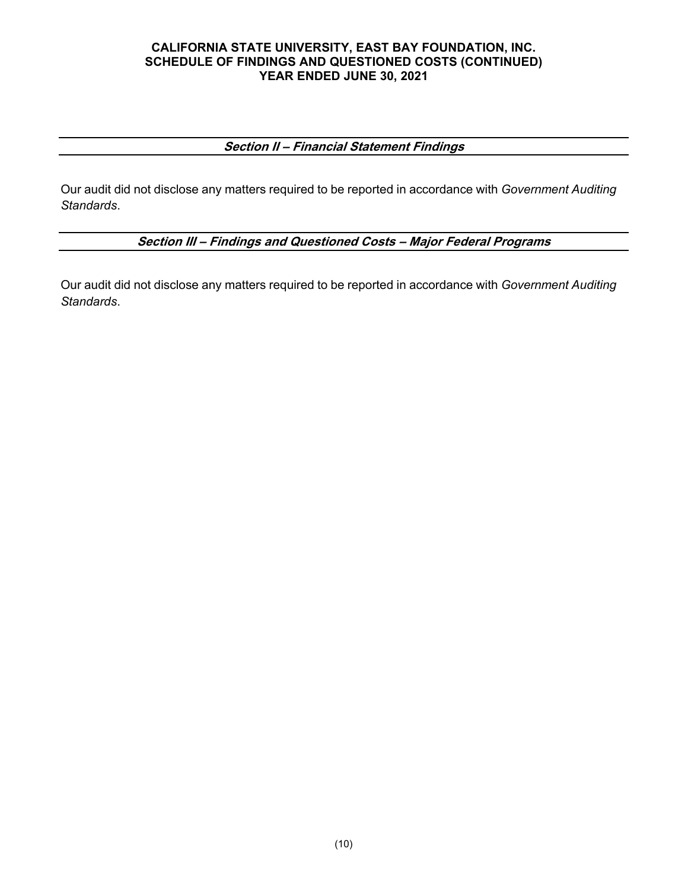# **CALIFORNIA STATE UNIVERSITY, EAST BAY FOUNDATION, INC. SCHEDULE OF FINDINGS AND QUESTIONED COSTS (CONTINUED) YEAR ENDED JUNE 30, 2021**

# **Section II – Financial Statement Findings**

Our audit did not disclose any matters required to be reported in accordance with *Government Auditing Standards*.

# **Section III – Findings and Questioned Costs – Major Federal Programs**

Our audit did not disclose any matters required to be reported in accordance with *Government Auditing Standards*.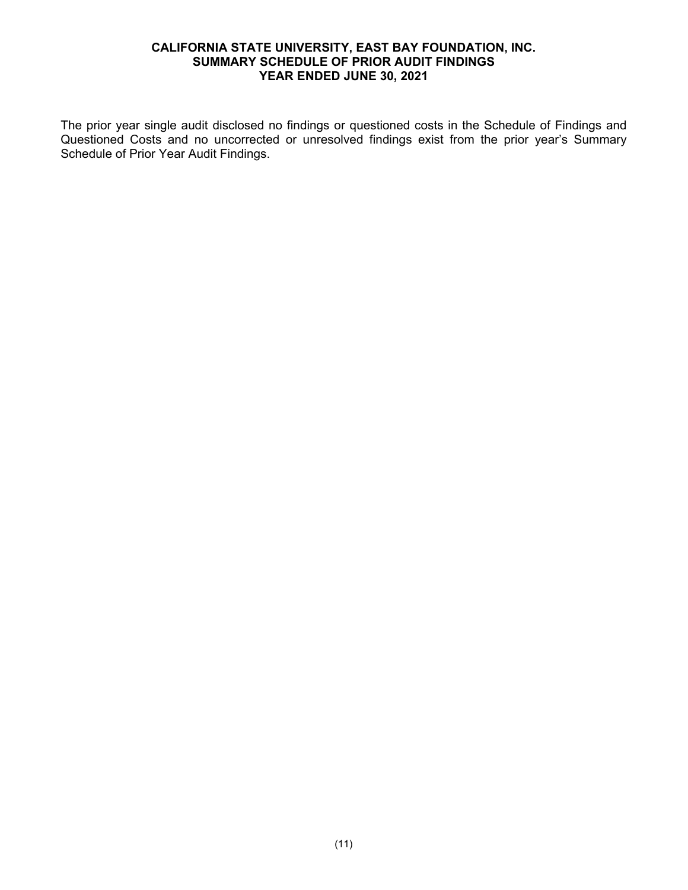# **CALIFORNIA STATE UNIVERSITY, EAST BAY FOUNDATION, INC. SUMMARY SCHEDULE OF PRIOR AUDIT FINDINGS YEAR ENDED JUNE 30, 2021**

The prior year single audit disclosed no findings or questioned costs in the Schedule of Findings and Questioned Costs and no uncorrected or unresolved findings exist from the prior year's Summary Schedule of Prior Year Audit Findings.